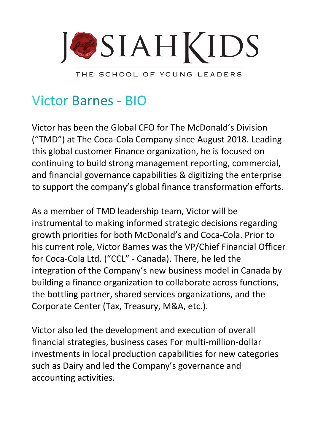

**Victor Barnes - BIO** 

Victor has been the Global CFO for The McDonald's Division ("TMD") at The Coca-Cola Company since August 2018. Leading this global customer Finance organization, he is focused on continuing to build strong management reporting, commercial, and financial governance capabilities & digitizing the enterprise to support the company's global finance transformation efforts.

As a member of TMD leadership team, Victor will be instrumental to making informed strategic decisions regarding growth priorities for both McDonald's and Coca-Cola. Prior to his current role, Victor Barnes was the VP/Chief Financial Officer for Coca-Cola Ltd. ("CCL" - Canada). There, he led the integration of the Company's new business model in Canada by building a finance organization to collaborate across functions, the bottling partner, shared services organizations, and the Corporate Center (Tax, Treasury, M&A, etc.).

Victor also led the development and execution of overall financial strategies, business cases For multi-million-dollar investments in local production capabilities for new categories such as Dairy and led the Company's governance and accounting activities.